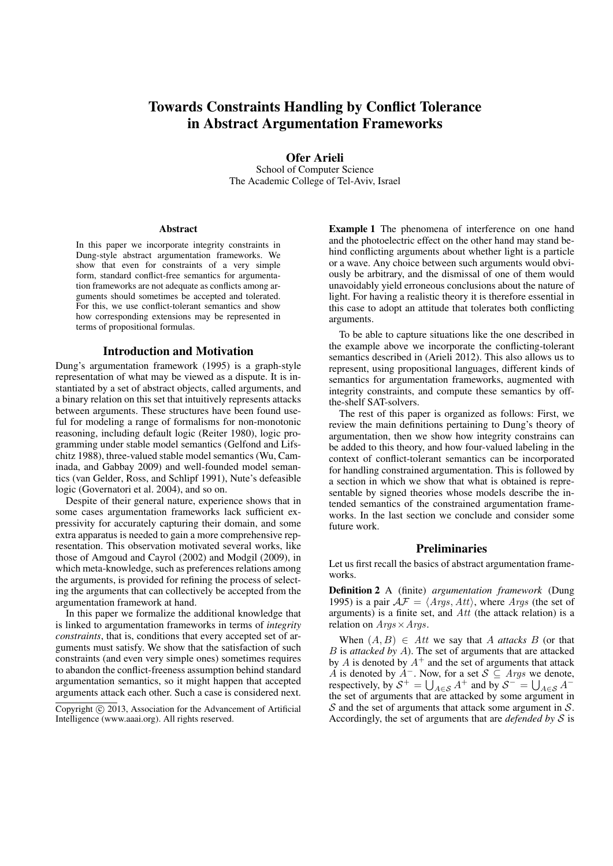# Towards Constraints Handling by Conflict Tolerance in Abstract Argumentation Frameworks

Ofer Arieli School of Computer Science The Academic College of Tel-Aviv, Israel

#### Abstract

In this paper we incorporate integrity constraints in Dung-style abstract argumentation frameworks. We show that even for constraints of a very simple form, standard conflict-free semantics for argumentation frameworks are not adequate as conflicts among arguments should sometimes be accepted and tolerated. For this, we use conflict-tolerant semantics and show how corresponding extensions may be represented in terms of propositional formulas.

#### Introduction and Motivation

Dung's argumentation framework (1995) is a graph-style representation of what may be viewed as a dispute. It is instantiated by a set of abstract objects, called arguments, and a binary relation on this set that intuitively represents attacks between arguments. These structures have been found useful for modeling a range of formalisms for non-monotonic reasoning, including default logic (Reiter 1980), logic programming under stable model semantics (Gelfond and Lifschitz 1988), three-valued stable model semantics (Wu, Caminada, and Gabbay 2009) and well-founded model semantics (van Gelder, Ross, and Schlipf 1991), Nute's defeasible logic (Governatori et al. 2004), and so on.

Despite of their general nature, experience shows that in some cases argumentation frameworks lack sufficient expressivity for accurately capturing their domain, and some extra apparatus is needed to gain a more comprehensive representation. This observation motivated several works, like those of Amgoud and Cayrol (2002) and Modgil (2009), in which meta-knowledge, such as preferences relations among the arguments, is provided for refining the process of selecting the arguments that can collectively be accepted from the argumentation framework at hand.

In this paper we formalize the additional knowledge that is linked to argumentation frameworks in terms of *integrity constraints*, that is, conditions that every accepted set of arguments must satisfy. We show that the satisfaction of such constraints (and even very simple ones) sometimes requires to abandon the conflict-freeness assumption behind standard argumentation semantics, so it might happen that accepted arguments attack each other. Such a case is considered next.

Example 1 The phenomena of interference on one hand and the photoelectric effect on the other hand may stand behind conflicting arguments about whether light is a particle or a wave. Any choice between such arguments would obviously be arbitrary, and the dismissal of one of them would unavoidably yield erroneous conclusions about the nature of light. For having a realistic theory it is therefore essential in this case to adopt an attitude that tolerates both conflicting arguments.

To be able to capture situations like the one described in the example above we incorporate the conflicting-tolerant semantics described in (Arieli 2012). This also allows us to represent, using propositional languages, different kinds of semantics for argumentation frameworks, augmented with integrity constraints, and compute these semantics by offthe-shelf SAT-solvers.

The rest of this paper is organized as follows: First, we review the main definitions pertaining to Dung's theory of argumentation, then we show how integrity constrains can be added to this theory, and how four-valued labeling in the context of conflict-tolerant semantics can be incorporated for handling constrained argumentation. This is followed by a section in which we show that what is obtained is representable by signed theories whose models describe the intended semantics of the constrained argumentation frameworks. In the last section we conclude and consider some future work.

#### Preliminaries

Let us first recall the basics of abstract argumentation frameworks.

Definition 2 A (finite) *argumentation framework* (Dung 1995) is a pair  $A\mathcal{F} = \langle \text{A} \text{rgs}, \text{A} \text{t} \text{t} \rangle$ , where  $\text{A} \text{rgs}$  (the set of arguments) is a finite set, and *Att* (the attack relation) is a relation on *Args×Args*.

When  $(A, B) \in Att$  we say that *A attacks B* (or that *B* is *attacked by A*). The set of arguments that are attacked by  $A$  is denoted by  $A^+$  and the set of arguments that attack *A* is denoted by *A−*. Now, for a set *S ⊆ Args* we denote, respectively, by  $S^+ = \bigcup_{A \in S} A^+$  and by  $S^- = \bigcup_{A \in S} A^-$ <br>the set of arguments that are attacked by some argument in *S* and the set of arguments that attack some argument in *S*. Accordingly, the set of arguments that are *defended by S* is

Copyright  $\circled{c}$  2013, Association for the Advancement of Artificial Intelligence (www.aaai.org). All rights reserved.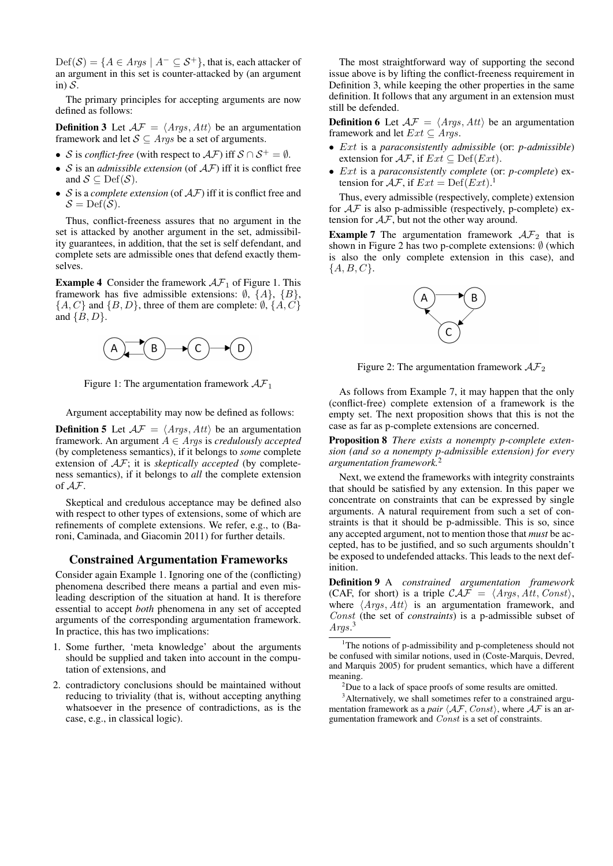$Def(S) = \{A \in \text{A} \text{rgs} \mid A^{-} \subseteq S^{+}\}\$ , that is, each attacker of an argument in this set is counter-attacked by (an argument in) *S*.

The primary principles for accepting arguments are now defined as follows:

**Definition 3** Let  $\mathcal{AF} = \langle \text{Args}, \text{Att} \rangle$  be an argumentation framework and let  $S \subseteq \text{Args}$  be a set of arguments.

- *S* is *conflict-free* (with respect to  $\mathcal{AF}$ ) iff  $\mathcal{S} \cap \mathcal{S}^+ = \emptyset$ .
- *• S* is an *admissible extension* (of *AF*) iff it is conflict free and  $S \subseteq \text{Def}(\mathcal{S})$ .
- *• S* is a *complete extension* (of *AF*) iff it is conflict free and  $S = Def(S)$ .

Thus, conflict-freeness assures that no argument in the set is attacked by another argument in the set, admissibility guarantees, in addition, that the set is self defendant, and complete sets are admissible ones that defend exactly themselves.

**Example 4** Consider the framework  $AF_1$  of Figure 1. This framework has five admissible extensions: *∅*, *{A}*, *{B}*, *{A, C}* and *{B, D}*, three of them are complete: *∅*, *{A, C}* and *{B, D}*.



Figure 1: The argumentation framework *AF*<sup>1</sup>

Argument acceptability may now be defined as follows:

**Definition 5** Let  $AF = \langle Args, Att \rangle$  be an argumentation framework. An argument *A ∈ Args* is *credulously accepted* (by completeness semantics), if it belongs to *some* complete extension of *AF*; it is *skeptically accepted* (by completeness semantics), if it belongs to *all* the complete extension of *AF*.

Skeptical and credulous acceptance may be defined also with respect to other types of extensions, some of which are refinements of complete extensions. We refer, e.g., to (Baroni, Caminada, and Giacomin 2011) for further details.

## Constrained Argumentation Frameworks

Consider again Example 1. Ignoring one of the (conflicting) phenomena described there means a partial and even misleading description of the situation at hand. It is therefore essential to accept *both* phenomena in any set of accepted arguments of the corresponding argumentation framework. In practice, this has two implications:

- 1. Some further, 'meta knowledge' about the arguments should be supplied and taken into account in the computation of extensions, and
- 2. contradictory conclusions should be maintained without reducing to triviality (that is, without accepting anything whatsoever in the presence of contradictions, as is the case, e.g., in classical logic).

The most straightforward way of supporting the second issue above is by lifting the conflict-freeness requirement in Definition 3, while keeping the other properties in the same definition. It follows that any argument in an extension must still be defended.

**Definition 6** Let  $\mathcal{AF} = \langle \text{A} \text{rgs}, \text{Att} \rangle$  be an argumentation framework and let  $Ext \subseteq \text{Args}$ .

- *• Ext* is a *paraconsistently admissible* (or: *p-admissible*) extension for  $\mathcal{AF}$ , if  $Ext \subseteq \text{Def}(Ext)$ .
- *• Ext* is a *paraconsistently complete* (or: *p-complete*) extension for  $\mathcal{AF}$ , if  $Ext = \text{Def}(Ext)^{1}$ .

Thus, every admissible (respectively, complete) extension for *AF* is also p-admissible (respectively, p-complete) extension for *AF*, but not the other way around.

**Example 7** The argumentation framework  $AF_2$  that is shown in Figure 2 has two p-complete extensions: *∅* (which is also the only complete extension in this case), and *{A, B, C}*.



Figure 2: The argumentation framework  $\mathcal{AF}_2$ 

As follows from Example 7, it may happen that the only (conflict-free) complete extension of a framework is the empty set. The next proposition shows that this is not the case as far as p-complete extensions are concerned.

Proposition 8 *There exists a nonempty p-complete extension (and so a nonempty p-admissible extension) for every argumentation framework.*<sup>2</sup>

Next, we extend the frameworks with integrity constraints that should be satisfied by any extension. In this paper we concentrate on constraints that can be expressed by single arguments. A natural requirement from such a set of constraints is that it should be p-admissible. This is so, since any accepted argument, not to mention those that *must* be accepted, has to be justified, and so such arguments shouldn't be exposed to undefended attacks. This leads to the next definition.

Definition 9 A *constrained argumentation framework* (CAF, for short) is a triple  $CAF = \langle Args, Att, Const \rangle$ , where *⟨Args, Att⟩* is an argumentation framework, and *Const* (the set of *constraints*) is a p-admissible subset of *Args*. 3

<sup>3</sup>Alternatively, we shall sometimes refer to a constrained argumentation framework as a *pair*  $\langle AF, Const \rangle$ , where  $AF$  is an argumentation framework and *Const* is a set of constraints.

<sup>&</sup>lt;sup>1</sup>The notions of p-admissibility and p-completeness should not be confused with similar notions, used in (Coste-Marquis, Devred, and Marquis 2005) for prudent semantics, which have a different meaning.

 $^{2}$ Due to a lack of space proofs of some results are omitted.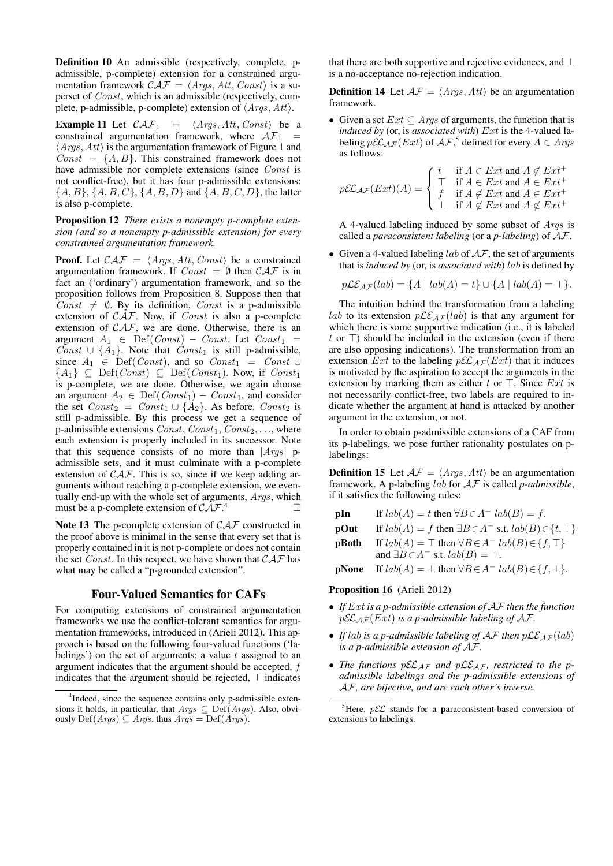Definition 10 An admissible (respectively, complete, padmissible, p-complete) extension for a constrained argumentation framework  $\mathcal{CAF} = \langle \text{Args}, \text{Att}, \text{Const} \rangle$  is a superset of *Const*, which is an admissible (respectively, complete, p-admissible, p-complete) extension of *⟨Args, Att⟩*.

**Example 11** Let  $\mathcal{CAF}_1 = \langle \text{Args}, \text{Att}, \text{Const} \rangle$  be a constrained argumentation framework, where  $\mathcal{AF}_1$  = *⟨Args, Att⟩* is the argumentation framework of Figure 1 and  $Const = {A, B}$ . This constrained framework does not have admissible nor complete extensions (since *Const* is not conflict-free), but it has four p-admissible extensions: *{A, B}*, *{A, B, C}*, *{A, B, D}* and *{A, B, C, D}*, the latter is also p-complete.

Proposition 12 *There exists a nonempty p-complete extension (and so a nonempty p-admissible extension) for every constrained argumentation framework.*

**Proof.** Let  $\mathcal{CAF} = \langle \text{Args}, \text{Att}, \text{Const} \rangle$  be a constrained argumentation framework. If  $Const = \emptyset$  then  $CAT$  is in fact an ('ordinary') argumentation framework, and so the proposition follows from Proposition 8. Suppose then that *Const*  $\neq$  *Ø*. By its definition, *Const* is a p-admissible extension of *CAF*. Now, if *Const* is also a p-complete extension of *CAF*, we are done. Otherwise, there is an argument *A*<sup>1</sup> *∈* Def(*Const*) *− Const*. Let *Const*<sup>1</sup> = *Const* ∪  $\{A_1\}$ . Note that *Const*<sub>1</sub> is still p-admissible, since  $A_1 \in \text{Def}(Const)$ , and so  $Const_1 = Const \cup$  ${A_1}$  ⊆ Def(*Const*) ⊆ Def(*Const*<sub>1</sub>). Now, if *Const*<sub>1</sub> is p-complete, we are done. Otherwise, we again choose an argument  $A_2 \in \text{Def}(Const_1) - Const_1$ , and consider the set  $Const_2 = Const_1 \cup \{A_2\}$ . As before, *Const*<sub>2</sub> is still p-admissible. By this process we get a sequence of p-admissible extensions  $Const, Const_1, Const_2, \ldots$ , where each extension is properly included in its successor. Note that this sequence consists of no more than *|Args|* padmissible sets, and it must culminate with a p-complete extension of *CAF*. This is so, since if we keep adding arguments without reaching a p-complete extension, we eventually end-up with the whole set of arguments, *Args*, which must be a p-complete extension of *CAF*.  $\overline{4}$ 

Note 13 The p-complete extension of *CAF* constructed in the proof above is minimal in the sense that every set that is properly contained in it is not p-complete or does not contain the set *Const*. In this respect, we have shown that *CAF* has what may be called a "p-grounded extension".

## Four-Valued Semantics for CAFs

For computing extensions of constrained argumentation frameworks we use the conflict-tolerant semantics for argumentation frameworks, introduced in (Arieli 2012). This approach is based on the following four-valued functions ('labelings') on the set of arguments: a value *t* assigned to an argument indicates that the argument should be accepted, *f* indicates that the argument should be rejected, *⊤* indicates

that there are both supportive and rejective evidences, and *⊥* is a no-acceptance no-rejection indication.

**Definition 14** Let  $AF = \langle Args, Att \rangle$  be an argumentation framework.

*•* Given a set *Ext ⊆ Args* of arguments, the function that is *induced by* (or, is *associated with*) *Ext* is the 4-valued labeling  $p\mathcal{EL}_{AF}(Ext)$  of  $\mathcal{AF},^5$  defined for every  $A \in \mathcal{A}$ *rgs* as follows:

$$
p\mathcal{EL}_{\mathcal{AF}}(Ext)(A) = \begin{cases} t & \text{if } A \in Ext \text{ and } A \notin Ext^+ \\ \top & \text{if } A \in Ext \text{ and } A \in Ext^+ \\ f & \text{if } A \notin Ext \text{ and } A \in Ext^+ \\ \bot & \text{if } A \notin Ext \text{ and } A \notin Ext^+ \end{cases}
$$

A 4-valued labeling induced by some subset of *Args* is called a *paraconsistent labeling* (or a *p-labeling*) of *AF*.

*•* Given a 4-valued labeling *lab* of *AF*, the set of arguments that is *induced by* (or, is *associated with*) *lab* is defined by

$$
p\mathcal{LE}_{\mathcal{AF}}(lab) = \{ A \mid lab(A) = t \} \cup \{ A \mid lab(A) = \top \}.
$$

The intuition behind the transformation from a labeling *lab* to its extension  $p\mathcal{LE}_{AF}(lab)$  is that any argument for which there is some supportive indication (i.e., it is labeled *t* or *⊤*) should be included in the extension (even if there are also opposing indications). The transformation from an extension *Ext* to the labeling  $p\mathcal{EL}_{AF}(Ext)$  that it induces is motivated by the aspiration to accept the arguments in the extension by marking them as either *t* or *⊤*. Since *Ext* is not necessarily conflict-free, two labels are required to indicate whether the argument at hand is attacked by another argument in the extension, or not.

In order to obtain p-admissible extensions of a CAF from its p-labelings, we pose further rationality postulates on plabelings:

**Definition 15** Let  $AF = \langle Args, Att \rangle$  be an argumentation framework. A p-labeling *lab* for *AF* is called *p-admissible*, if it satisfies the following rules:

| pIn |  | If $lab(A) = t$ then $\forall B \in A^ lab(B) = f$ . |  |  |
|-----|--|------------------------------------------------------|--|--|
|-----|--|------------------------------------------------------|--|--|

- **pOut** If  $lab(A) = f$  then  $\exists B \in A^-$  s.t.  $lab(B) \in \{t, \top\}$
- **pBoth** If  $lab(A) = \top$  then  $\forall B \in A^ lab(B) \in \{f, \top\}$ and  $\exists B \in A^-$  s.t.  $lab(B) = \top$ .
- $\mathbf{p}$ None If  $lab(A) = \perp \text{ then } \forall B \in A^ lab(B) \in \{f, \perp\}.$

### Proposition 16 (Arieli 2012)

- *• If Ext is a p-admissible extension of AF then the function*  $p\mathcal{EL}_{AF}(Ext)$  *is a p-admissible labeling of AF*.
- *If*  $lab$  *is a p-admissible labeling of*  $AF$  *then*  $p\mathcal{LE}_{AF}(lab)$ *is a p-admissible extension of AF.*
- *The functions*  $p\mathcal{EL}_{AF}$  *and*  $p\mathcal{LE}_{AF}$ *, restricted to the padmissible labelings and the p-admissible extensions of AF, are bijective, and are each other's inverse.*

<sup>&</sup>lt;sup>4</sup>Indeed, since the sequence contains only p-admissible extensions it holds, in particular, that  $Args \subseteq Def(Args)$ . Also, obviously Def(*Args*) *⊆ Args*, thus *Args* = Def(*Args*).

<sup>&</sup>lt;sup>5</sup>Here,  $p\mathcal{EL}$  stands for a **p**araconsistent-based conversion of extensions to labelings.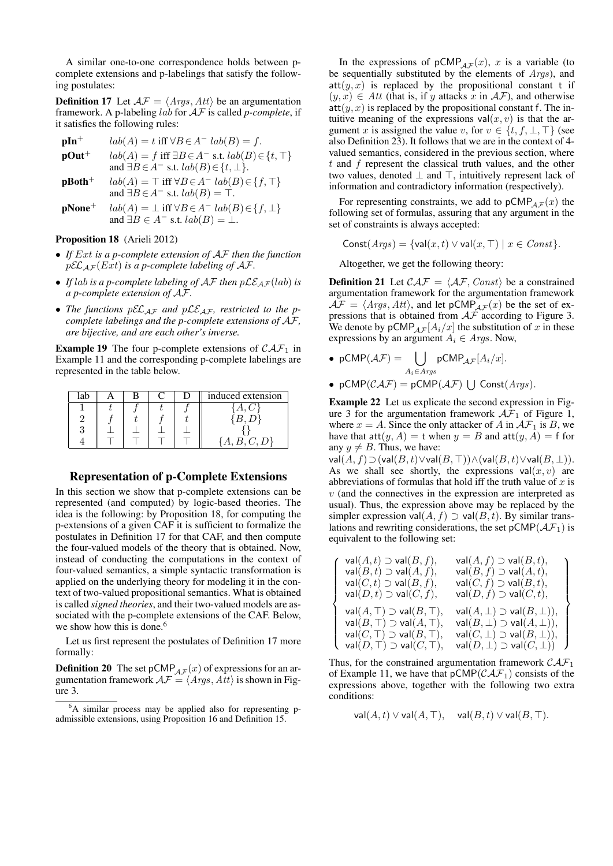A similar one-to-one correspondence holds between pcomplete extensions and p-labelings that satisfy the following postulates:

**Definition 17** Let  $AF = \langle Args, Att \rangle$  be an argumentation framework. A p-labeling *lab* for *AF* is called *p-complete*, if it satisfies the following rules:

| $pIn^{+}$         | $lab(A) = t$ iff $\forall B \in A^ lab(B) = f$ .                   |
|-------------------|--------------------------------------------------------------------|
| $\mathbf{pOut}^+$ | $lab(A) = f$ iff $\exists B \in A^-$ s.t. $lab(B) \in \{t, \top\}$ |
|                   | and $\exists B \in A^-$ s.t. $lab(B) \in \{t, \perp\}.$            |
| $pBoth+$          | $lab(A) = \top$ iff $\forall B \in A^ lab(B) \in \{f, \top\}$      |

and  $∃B ∈ A<sup>−</sup>$  s.t.  $lab(B) = ⊤$ .

 $\mathbf{p}$ None<sup>+</sup>  $lab(A) = \perp \text{iff } \forall B \in A^ lab(B) \in \{f, \perp\}$ and  $\exists B \in A^{-}$  s.t.  $lab(B) = \bot$ .

#### Proposition 18 (Arieli 2012)

- *• If Ext is a p-complete extension of AF then the function*  $p\mathcal{EL}_{AF}(Ext)$  *is a p-complete labeling of AF*.
- *If*  $lab$  *is a p-complete labeling of AF then*  $p\mathcal{LE}_{AF}(lab)$  *is a p-complete extension of AF.*
- The functions  $p\mathcal{EL}_{AF}$  and  $p\mathcal{LE}_{AF}$ , restricted to the p*complete labelings and the p-complete extensions of AF, are bijective, and are each other's inverse.*

**Example 19** The four p-complete extensions of  $CAF_1$  in Example 11 and the corresponding p-complete labelings are represented in the table below.

| lat |  |  | induced extension |
|-----|--|--|-------------------|
|     |  |  |                   |
|     |  |  |                   |
|     |  |  |                   |
|     |  |  |                   |

## Representation of p-Complete Extensions

In this section we show that p-complete extensions can be represented (and computed) by logic-based theories. The idea is the following: by Proposition 18, for computing the p-extensions of a given CAF it is sufficient to formalize the postulates in Definition 17 for that CAF, and then compute the four-valued models of the theory that is obtained. Now, instead of conducting the computations in the context of four-valued semantics, a simple syntactic transformation is applied on the underlying theory for modeling it in the context of two-valued propositional semantics. What is obtained is called *signed theories*, and their two-valued models are associated with the p-complete extensions of the CAF. Below, we show how this is done.<sup>6</sup>

Let us first represent the postulates of Definition 17 more formally:

**Definition 20** The set  $pCMP_{AF}(x)$  of expressions for an argumentation framework  $\mathcal{AF} = \langle \overline{A} \overline{r} \overline{g} s, \overline{A} t \overline{t} \rangle$  is shown in Figure 3.

In the expressions of  $pCMP_{AF}(x)$ , *x* is a variable (to be sequentially substituted by the elements of *Args*), and  $att(y, x)$  is replaced by the propositional constant t if  $(y, x)$  ∈ *Att* (that is, if *y* attacks *x* in *AF*), and otherwise  $\text{att}(y, x)$  is replaced by the propositional constant f. The intuitive meaning of the expressions  $val(x, v)$  is that the argument *x* is assigned the value *v*, for  $v \in \{t, f, \bot, \top\}$  (see also Definition 23). It follows that we are in the context of 4 valued semantics, considered in the previous section, where *t* and *f* represent the classical truth values, and the other two values, denoted *⊥* and *⊤*, intuitively represent lack of information and contradictory information (respectively).

For representing constraints, we add to  $pCMP_{AF}(x)$  the following set of formulas, assuring that any argument in the set of constraints is always accepted:

$$
Const(Args) = \{val(x, t) \lor val(x, \top) \mid x \in Const\}.
$$

Altogether, we get the following theory:

**Definition 21** Let  $\mathcal{CAF} = \langle \mathcal{AF}, Const \rangle$  be a constrained argumentation framework for the argumentation framework  $\mathcal{AF} = \langle \text{Args}, \text{Att} \rangle$ , and let  $pCMP_{\mathcal{AF}}(x)$  be the set of expressions that is obtained from  $\mathcal{AF}$  according to Figure 3. We denote by  $pCMP_{AF}[A_i/x]$  the substitution of x in these expressions by an argument  $A_i \in \text{Args}$ . Now,

- $pCMP(\mathcal{AF}) = \begin{bmatrix} \ \ \end{bmatrix}$ *Ai∈Args*  $pCMP_{AF}[A_i/x]$ .
- $pCMP(CAF) = pCMP(AF) \cup Const(Args)$ .

Example 22 Let us explicate the second expression in Figure 3 for the argumentation framework  $\mathcal{AF}_1$  of Figure 1, where  $x = A$ . Since the only attacker of A in  $AF_1$  is B, we have that  $\text{att}(y, A) = \text{t}$  when  $y = B$  and  $\text{att}(y, A) = \text{f}$  for any  $y \neq B$ . Thus, we have:

 $val(A, f)$  ⊃  $eval(B, t)$  $\lor$ val $(B, T)$ ) $\land$  $eval(B, t)$  $\lor$ val $(B, \perp)$ ). As we shall see shortly, the expressions  $val(x, v)$  are abbreviations of formulas that hold iff the truth value of *x* is *v* (and the connectives in the expression are interpreted as usual). Thus, the expression above may be replaced by the simpler expression val $(A, f)$   $\supset$  val $(B, t)$ . By similar translations and rewriting considerations, the set  $pCMP(\mathcal{AF}_1)$  is equivalent to the following set:

| $val(A,t) \supset val(B,f),$<br>$val(B,t) \supset val(A,f),$<br>$val(C, t) \supset val(B, f),$<br>$val(D, t) \supset val(C, f),$                                                         | $val(A, f) \supset val(B, t),$<br>$val(B, f) \supset val(A, t),$<br>$val(C, f) \supset val(B, t),$<br>$val(D, f) \supset val(C, t),$                                                  |
|------------------------------------------------------------------------------------------------------------------------------------------------------------------------------------------|---------------------------------------------------------------------------------------------------------------------------------------------------------------------------------------|
| $val(A, \top) \supset val(B, \top),$<br>$val(B, \top) \supset val(A, \top),$<br>$val(C, \top) \supset val(B, \top),$<br>$\left\{ \text{ val}(D,\top)\supset \text{val}(C,\top), \right.$ | $val(A, \perp) \supset val(B, \perp)),$<br>$val(B, \perp) \supset val(A, \perp)),$<br>$val(C, \perp) \supset val(B, \perp)),$<br>$\mathsf{val}(D,\bot) \supset \mathsf{val}(C,\bot))$ |

Thus, for the constrained argumentation framework  $\mathcal{CAF}_1$ of Example 11, we have that  $pCMP(CAF_1)$  consists of the expressions above, together with the following two extra conditions:

 $val(A, t) \vee val(A, T)$ ,  $val(B, t) \vee val(B, T)$ .

<sup>6</sup>A similar process may be applied also for representing padmissible extensions, using Proposition 16 and Definition 15.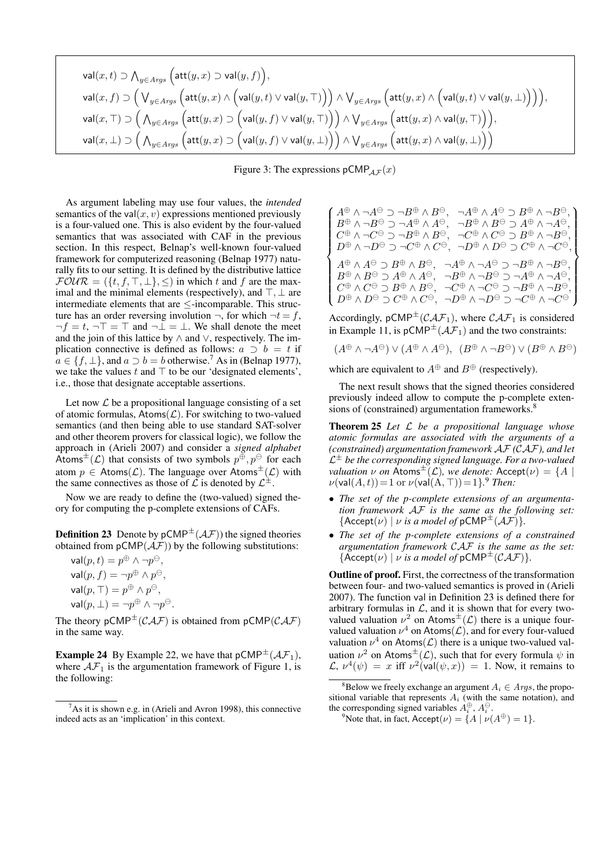$$
\label{eq:1} \begin{split} &\mathsf{val}(x,t) \supset \bigwedge_{y \in \mathit{Arys}} \Big( \mathsf{att}(y,x) \supset \mathsf{val}(y,f) \Big),\\ &\mathsf{val}(x,f) \supset \Big( \bigvee_{y \in \mathit{Arys}} \Big( \mathsf{att}(y,x) \wedge \Big( \mathsf{val}(y,t) \vee \mathsf{val}(y,T) \Big) \Big) \wedge \bigvee_{y \in \mathit{Arys}} \Big( \mathsf{att}(y,x) \wedge \Big( \mathsf{val}(y,t) \vee \mathsf{val}(y,\bot) \Big) \Big) \Big),\\ &\mathsf{val}(x,\top) \supset \Big( \bigwedge_{y \in \mathit{Arys}} \Big( \mathsf{att}(y,x) \supset \Big( \mathsf{val}(y,f) \vee \mathsf{val}(y,\top) \Big) \Big) \wedge \bigvee_{y \in \mathit{Arys}} \Big( \mathsf{att}(y,x) \wedge \mathsf{val}(y,\top) \Big) \Big),\\ &\mathsf{val}(x,\bot) \supset \Big( \bigwedge_{y \in \mathit{Arys}} \Big( \mathsf{att}(y,x) \supset \Big( \mathsf{val}(y,f) \vee \mathsf{val}(y,\bot) \Big) \Big) \wedge \bigvee_{y \in \mathit{Arys}} \Big( \mathsf{att}(y,x) \wedge \mathsf{val}(y,\bot) \Big) \Big) \end{split}
$$

Figure 3: The expressions  $pCMP_{AF}(x)$ 

As argument labeling may use four values, the *intended* semantics of the val $(x, v)$  expressions mentioned previously is a four-valued one. This is also evident by the four-valued semantics that was associated with CAF in the previous section. In this respect, Belnap's well-known four-valued framework for computerized reasoning (Belnap 1977) naturally fits to our setting. It is defined by the distributive lattice  $\mathcal{F} \mathcal{O} \mathcal{U} \mathcal{R} = (\{t, f, \top, \bot\}, \leq)$  in which *t* and *f* are the maximal and the minimal elements (respectively), and *⊤, ⊥* are intermediate elements that are *≤*-incomparable. This structure has an order reversing involution  $\neg$ , for which  $\neg t = f$ , *¬f* = *t*, *¬⊤* = *⊤* and *¬⊥* = *⊥*. We shall denote the meet and the join of this lattice by *∧* and *∨*, respectively. The implication connective is defined as follows:  $a \supset b = t$  if  $a \in \{f, \perp\}$ , and  $a \supset b = b$  otherwise.<sup>7</sup> As in (Belnap 1977), we take the values *t* and *⊤* to be our 'designated elements', i.e., those that designate acceptable assertions.

Let now  $\mathcal L$  be a propositional language consisting of a set of atomic formulas,  $\mathsf{Atoms}(\mathcal{L})$ . For switching to two-valued semantics (and then being able to use standard SAT-solver and other theorem provers for classical logic), we follow the approach in (Arieli 2007) and consider a *signed alphabet* Atoms<sup> $\pm$ </sup>(*L*) that consists of two symbols  $p^{\oplus}, p^{\ominus}$  for each atom  $p \in$  Atoms( $\mathcal{L}$ ). The language over Atoms<sup>±</sup>( $\mathcal{L}$ ) with the same connectives as those of  $\mathcal L$  is denoted by  $\mathcal L^{\pm}$ .

Now we are ready to define the (two-valued) signed theory for computing the p-complete extensions of CAFs.

**Definition 23** Denote by  $pCMP^{\pm}(\mathcal{AF})$  the signed theories obtained from  $pCMP(\mathcal{A}\mathcal{F})$  by the following substitutions:

| $val(p, t) = p^{\oplus} \wedge \neg p^{\ominus},$               |
|-----------------------------------------------------------------|
| $val(p, f) = \neg p^{\oplus} \wedge p^{\ominus},$               |
| $val(p, \top) = p^{\oplus} \wedge p^{\ominus},$                 |
| $\mathsf{val}(p, \perp) = \neg p^\oplus \wedge \neg p^\ominus.$ |

The theory  $pCMP^{\pm}(CAF)$  is obtained from  $pCMP(CAF)$ in the same way.

**Example 24** By Example 22, we have that  $pCMP^{\pm}(\mathcal{AF}_1)$ , where  $AF_1$  is the argumentation framework of Figure 1, is the following:

$$
\begin{cases} A^{\oplus}\wedge\neg A^{\ominus}\supset\neg B^{\oplus}\wedge B^{\ominus},\neg A^{\oplus}\wedge A^{\ominus}\supset B^{\oplus}\wedge\neg B^{\ominus},\\ B^{\oplus}\wedge\neg B^{\ominus}\supset\neg A^{\oplus}\wedge A^{\ominus},\neg B^{\oplus}\wedge B^{\ominus}\supset A^{\oplus}\wedge\neg A^{\ominus},\\ C^{\oplus}\wedge\neg C^{\ominus}\supset\neg B^{\oplus}\wedge B^{\ominus},\neg C^{\oplus}\wedge C^{\ominus}\supset B^{\oplus}\wedge\neg B^{\ominus},\\ D^{\oplus}\wedge\neg D^{\ominus}\supset\neg C^{\oplus}\wedge C^{\ominus},\neg D^{\oplus}\wedge D^{\ominus}\supset C^{\oplus}\wedge\neg C^{\ominus},\\ A^{\oplus}\wedge A^{\ominus}\supset B^{\oplus}\wedge B^{\ominus},\neg A^{\oplus}\wedge\neg A^{\ominus}\supset\neg B^{\oplus}\wedge\neg B^{\ominus},\\ B^{\oplus}\wedge B^{\ominus}\supset A^{\oplus}\wedge A^{\ominus},\neg B^{\oplus}\wedge\neg B^{\ominus}\supset\neg A^{\oplus}\wedge\neg B^{\ominus},\\ C^{\oplus}\wedge C^{\ominus}\supset B^{\oplus}\wedge B^{\ominus},\neg C^{\oplus}\wedge\neg C^{\ominus}\supset\neg B^{\oplus}\wedge\neg B^{\ominus},\\ D^{\oplus}\wedge D^{\ominus}\supset C^{\oplus}\wedge C^{\ominus},\neg D^{\oplus}\wedge\neg D^{\ominus}\supset\neg C^{\oplus}\wedge\neg C^{\ominus} \end{cases}
$$

Accordingly,  $pCMP^{\pm}(\mathcal{CAF}_1)$ , where  $\mathcal{CAF}_1$  is considered in Example 11, is  $pCMP^{\pm}(\mathcal{AF}_1)$  and the two constraints:

$$
(A^{\oplus}\wedge\neg A^{\ominus})\vee (A^{\oplus}\wedge A^{\ominus}),\ \ (B^{\oplus}\wedge\neg B^{\ominus})\vee (B^{\oplus}\wedge B^{\ominus})
$$

which are equivalent to  $A^{\oplus}$  and  $B^{\oplus}$  (respectively).

The next result shows that the signed theories considered previously indeed allow to compute the p-complete extensions of (constrained) argumentation frameworks.<sup>8</sup>

Theorem 25 *Let L be a propositional language whose atomic formulas are associated with the arguments of a (constrained) argumentation framework AF (CAF), and let L <sup>±</sup> be the corresponding signed language. For a two-valued valuation*  $\nu$  *on* Atoms<sup> $\pm$ </sup>(*L*)*, we denote:* Accept( $\nu$ ) = {*A* |  $\nu(\textsf{val}(A,t)) = 1 \text{ or } \nu(\textsf{val}(A,\top)) = 1$ *}.*<sup>9</sup> *Then:* 

- *• The set of the p-complete extensions of an argumentation framework AF is the same as the following set:*  ${$ {Accept(<math>\nu)</math> | <math>\nu</math> is a model of <math>pCMP^{\pm}(AF)</math>}.
- *• The set of the p-complete extensions of a constrained argumentation framework CAF is the same as the set:*  ${ \{Accept(\nu) \mid \nu \text{ is a model of } pCMP^{\pm}(\mathcal{CAF}) \}. }$

Outline of proof. First, the correctness of the transformation between four- and two-valued semantics is proved in (Arieli 2007). The function val in Definition 23 is defined there for arbitrary formulas in  $\mathcal{L}$ , and it is shown that for every twovalued valuation  $\nu^2$  on Atoms<sup> $\pm$ </sup>(*L*) there is a unique fourvalued valuation  $\nu^4$  on Atoms( $\mathcal{L}$ ), and for every four-valued valuation  $\nu^4$  on Atoms( $\mathcal{L}$ ) there is a unique two-valued valuation  $\nu^2$  on Atoms<sup> $\pm$ </sup>(*L*), such that for every formula  $\psi$  in  $\mathcal{L}, \nu^4(\psi) = x$  iff  $\nu^2(\text{val}(\psi, x)) = 1$ . Now, it remains to

<sup>9</sup>Note that, in fact,  $Accept(\nu) = \{A \mid \nu(A^{\oplus}) = 1\}.$ 

 $7$ As it is shown e.g. in (Arieli and Avron 1998), this connective indeed acts as an 'implication' in this context.

<sup>&</sup>lt;sup>8</sup>Below we freely exchange an argument  $A_i \in \text{Arg}$ , the propositional variable that represents  $A_i$  (with the same notation), and the corresponding signed variables  $A_i^{\oplus}, A_i^{\ominus}$ .